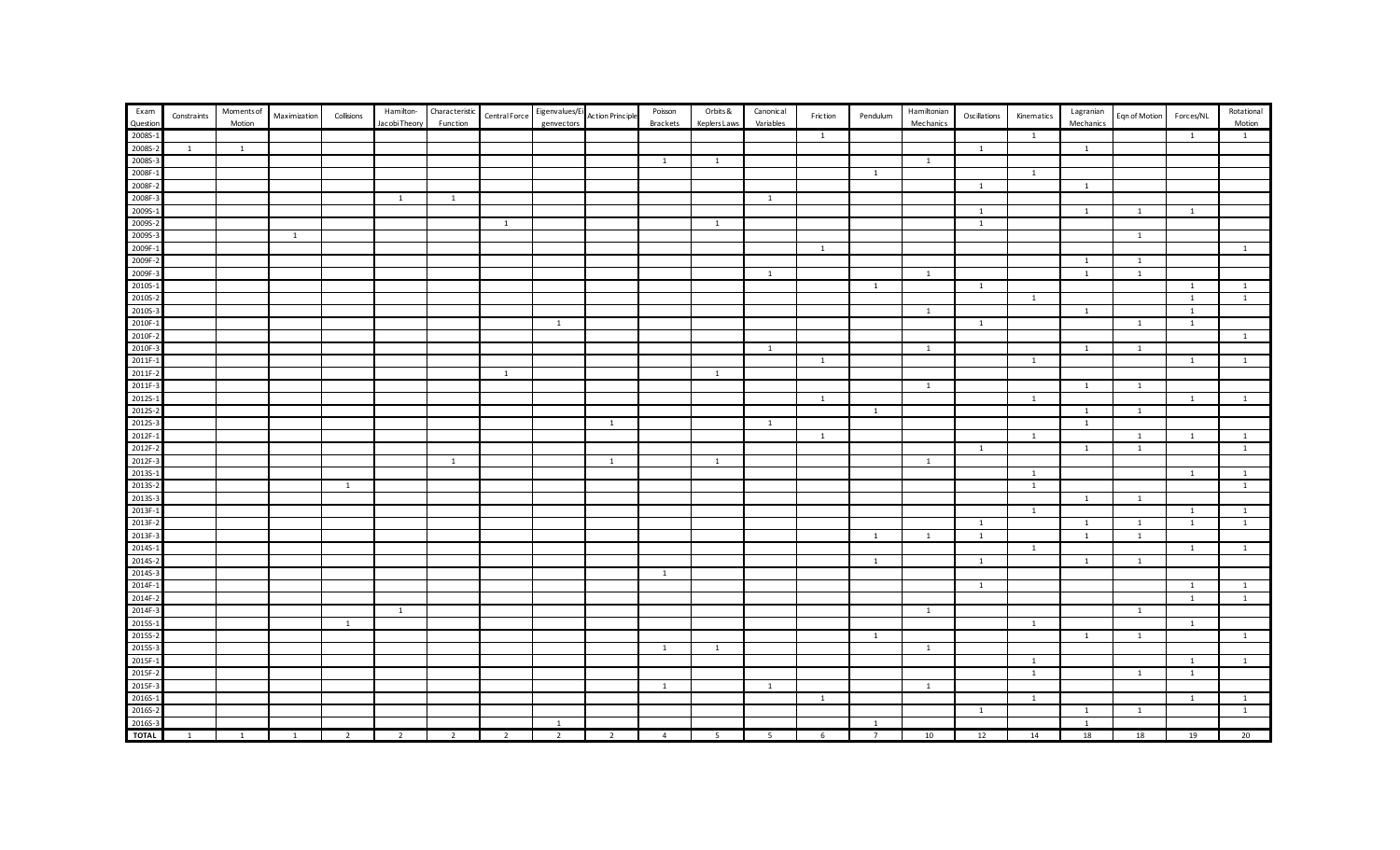| Exam         | Constraints  | <b>Moments</b> of | Maximization   | Collisions     | Hamilton-      | Characteristic | CentralForce   | Eigenvalues/Ei | Action Principle | Poisson        | Orbits &       | Canonical    | Friction       | Pendulum       | Hamiltonian    | Oscillations   | Kinematics     | Lagranian      | Eqn of Motion  | Forces/NL    | Rotational     |
|--------------|--------------|-------------------|----------------|----------------|----------------|----------------|----------------|----------------|------------------|----------------|----------------|--------------|----------------|----------------|----------------|----------------|----------------|----------------|----------------|--------------|----------------|
| Question     |              | Motion            |                |                | Jacobi Theory  | Function       |                | genvectors     |                  | Brackets       | Keplers Laws   | Variables    |                |                | Mechanics      |                |                | Mechanics      |                |              | Motion         |
| 2008S-       |              |                   |                |                |                |                |                |                |                  |                |                |              | $\mathbf{1}$   |                |                |                | $\mathbf{1}$   |                |                | $\mathbf{1}$ | $\mathbf{1}$   |
| 2008S-2      | <sup>1</sup> | $\mathbf{1}$      |                |                |                |                |                |                |                  |                |                |              |                |                |                | $\mathbf{1}$   |                | $\overline{1}$ |                |              |                |
| 2008S-       |              |                   |                |                |                |                |                |                |                  | $\mathbf{1}$   | $\mathbf{1}$   |              |                |                | $\overline{1}$ |                |                |                |                |              |                |
| 2008F-       |              |                   |                |                |                |                |                |                |                  |                |                |              |                | 1              |                |                | 1              |                |                |              |                |
| 2008F-       |              |                   |                |                |                |                |                |                |                  |                |                |              |                |                |                | $\overline{1}$ |                | 1              |                |              |                |
| 2008F-       |              |                   |                |                | 1              | $\mathbf{1}$   |                |                |                  |                |                | $\mathbf{1}$ |                |                |                |                |                |                |                |              |                |
| 2009S-       |              |                   |                |                |                |                |                |                |                  |                |                |              |                |                |                | $\overline{1}$ |                | $\overline{1}$ | $\overline{1}$ | $\mathbf{1}$ |                |
| 2009S-       |              |                   |                |                |                |                | 1              |                |                  |                | 1              |              |                |                |                | 1              |                |                |                |              |                |
| 2009S-       |              |                   | $\overline{1}$ |                |                |                |                |                |                  |                |                |              |                |                |                |                |                |                | $\mathbf{1}$   |              |                |
| 2009F-       |              |                   |                |                |                |                |                |                |                  |                |                |              | 1              |                |                |                |                |                |                |              | $\mathbf{1}$   |
| 2009F-       |              |                   |                |                |                |                |                |                |                  |                |                |              |                |                |                |                |                | 1              | $\mathbf{1}$   |              |                |
| 2009F-       |              |                   |                |                |                |                |                |                |                  |                |                | $\mathbf{1}$ |                |                | $\mathbf{1}$   |                |                | $\mathbf{1}$   | $\overline{1}$ |              |                |
| 2010S-       |              |                   |                |                |                |                |                |                |                  |                |                |              |                | $\overline{1}$ |                | $\mathbf{1}$   |                |                |                | 1            | $\mathbf{1}$   |
| 2010S-       |              |                   |                |                |                |                |                |                |                  |                |                |              |                |                |                |                | $\overline{1}$ |                |                | 1            | $\overline{1}$ |
| 2010S-       |              |                   |                |                |                |                |                |                |                  |                |                |              |                |                | $\,$ 1 $\,$    |                |                | $\overline{1}$ |                | 1            |                |
| 2010F-       |              |                   |                |                |                |                |                | $\mathbf{1}$   |                  |                |                |              |                |                |                | $\mathbf{1}$   |                |                | $\mathbf{1}$   | $\mathbf{1}$ |                |
| 2010F-2      |              |                   |                |                |                |                |                |                |                  |                |                |              |                |                |                |                |                |                |                |              | $\mathbf{1}$   |
| 2010F-       |              |                   |                |                |                |                |                |                |                  |                |                | $\mathbf{1}$ |                |                | $\mathbf{1}$   |                |                | $\overline{1}$ | $\overline{1}$ |              |                |
| 2011F-       |              |                   |                |                |                |                |                |                |                  |                |                |              | 1              |                |                |                | 1              |                |                | 1            | $\mathbf{1}$   |
| 2011F-       |              |                   |                |                |                |                | $\mathbf{1}$   |                |                  |                | $\mathbf{1}$   |              |                |                |                |                |                |                |                |              |                |
| 2011F-       |              |                   |                |                |                |                |                |                |                  |                |                |              |                |                | $\overline{1}$ |                |                | $\overline{1}$ | $\mathbf{1}$   |              |                |
| 2012S-       |              |                   |                |                |                |                |                |                |                  |                |                |              | $\mathbf{1}$   |                |                |                | $\overline{1}$ |                |                | $\mathbf{1}$ | $\mathbf{1}$   |
| 2012S-2      |              |                   |                |                |                |                |                |                |                  |                |                |              |                | 1              |                |                |                | $\overline{1}$ | $\overline{1}$ |              |                |
| 2012S-       |              |                   |                |                |                |                |                |                | $\mathbf{1}$     |                |                | $\mathbf{1}$ |                |                |                |                |                | $\overline{1}$ |                |              |                |
| 2012F-       |              |                   |                |                |                |                |                |                |                  |                |                |              | 1              |                |                |                | 1              |                | <sup>1</sup>   | 1            | $\mathbf{1}$   |
| 2012F-2      |              |                   |                |                |                |                |                |                |                  |                |                |              |                |                |                | $\overline{1}$ |                | $\mathbf{1}$   | $\overline{1}$ |              | $\mathbf{1}$   |
| 2012F-       |              |                   |                |                |                | $\mathbf{1}$   |                |                | $\overline{1}$   |                | $\overline{1}$ |              |                |                | $\overline{1}$ |                |                |                |                |              |                |
| 2013S-       |              |                   |                |                |                |                |                |                |                  |                |                |              |                |                |                |                | $\mathbf{1}$   |                |                | 1            | $\mathbf{1}$   |
| 2013S-       |              |                   |                | $\overline{1}$ |                |                |                |                |                  |                |                |              |                |                |                |                | $\overline{1}$ |                |                |              | $\overline{1}$ |
| 2013S-3      |              |                   |                |                |                |                |                |                |                  |                |                |              |                |                |                |                |                | $\mathbf{1}$   | $\overline{1}$ |              |                |
| 2013F-       |              |                   |                |                |                |                |                |                |                  |                |                |              |                |                |                |                | $\mathbf{1}$   |                |                | <sup>1</sup> | $\mathbf{1}$   |
| 2013F-2      |              |                   |                |                |                |                |                |                |                  |                |                |              |                |                |                | <sup>1</sup>   |                | $\mathbf{1}$   | 1              | <sup>1</sup> | $\mathbf{1}$   |
| 2013F-       |              |                   |                |                |                |                |                |                |                  |                |                |              |                | <sup>1</sup>   | $\mathbf{1}$   | $\mathbf{1}$   |                | $\overline{1}$ | $\mathbf{1}$   |              |                |
| 2014S-       |              |                   |                |                |                |                |                |                |                  |                |                |              |                |                |                |                | 1              |                |                | <sup>1</sup> | $\mathbf{1}$   |
| 2014S-2      |              |                   |                |                |                |                |                |                |                  |                |                |              |                | $\overline{1}$ |                | $\overline{1}$ |                | $\overline{1}$ | $\mathbf{1}$   |              |                |
| 2014S-3      |              |                   |                |                |                |                |                |                |                  | 1              |                |              |                |                |                |                |                |                |                |              |                |
| 2014F-       |              |                   |                |                |                |                |                |                |                  |                |                |              |                |                |                | $\mathbf{1}$   |                |                |                | $\mathbf{1}$ | -1             |
| 2014F-2      |              |                   |                |                |                |                |                |                |                  |                |                |              |                |                |                |                |                |                |                | 1            | $\mathbf{1}$   |
| 2014F-       |              |                   |                |                | <sup>1</sup>   |                |                |                |                  |                |                |              |                |                | $\mathbf{1}$   |                |                |                | $\overline{1}$ |              |                |
| 2015S-       |              |                   |                | $\mathbf{1}$   |                |                |                |                |                  |                |                |              |                |                |                |                | $\overline{1}$ |                |                | 1            |                |
| 2015S-       |              |                   |                |                |                |                |                |                |                  |                |                |              |                | 1              |                |                |                | $\overline{1}$ | $\mathbf{1}$   |              | $\mathbf{1}$   |
| 2015S-       |              |                   |                |                |                |                |                |                |                  | $\mathbf{1}$   | $\overline{1}$ |              |                |                | $\overline{1}$ |                |                |                |                |              |                |
| 2015F-       |              |                   |                |                |                |                |                |                |                  |                |                |              |                |                |                |                | $\mathbf{1}$   |                |                | $\mathbf{1}$ | $\mathbf{1}$   |
| 2015F-       |              |                   |                |                |                |                |                |                |                  |                |                |              |                |                |                |                | $\overline{1}$ |                | $\mathbf{1}$   | $\mathbf{1}$ |                |
| 2015F-       |              |                   |                |                |                |                |                |                |                  | $\mathbf{1}$   |                | $\mathbf{1}$ |                |                | $\mathbf{1}$   |                |                |                |                |              |                |
| 2016S-       |              |                   |                |                |                |                |                |                |                  |                |                |              | $\overline{1}$ |                |                |                | $\mathbf{1}$   |                |                | 1            | $\mathbf{1}$   |
| 2016S-2      |              |                   |                |                |                |                |                |                |                  |                |                |              |                |                |                | 1              |                | 1              | <sup>1</sup>   |              | $\mathbf{1}$   |
| 2016S-3      |              |                   |                |                |                |                |                | 1              |                  |                |                |              |                | <sup>1</sup>   |                |                |                | $\overline{1}$ |                |              |                |
| <b>TOTAL</b> | 1            | $\overline{1}$    | $\overline{1}$ | $\overline{2}$ | $\overline{2}$ | $\overline{2}$ | $\overline{2}$ | $\overline{2}$ | $\overline{2}$   | $\overline{4}$ | 5 <sup>5</sup> | $5^{\circ}$  | 6              | $\overline{7}$ | 10             | 12             | 14             | 18             | 18             | 19           | 20             |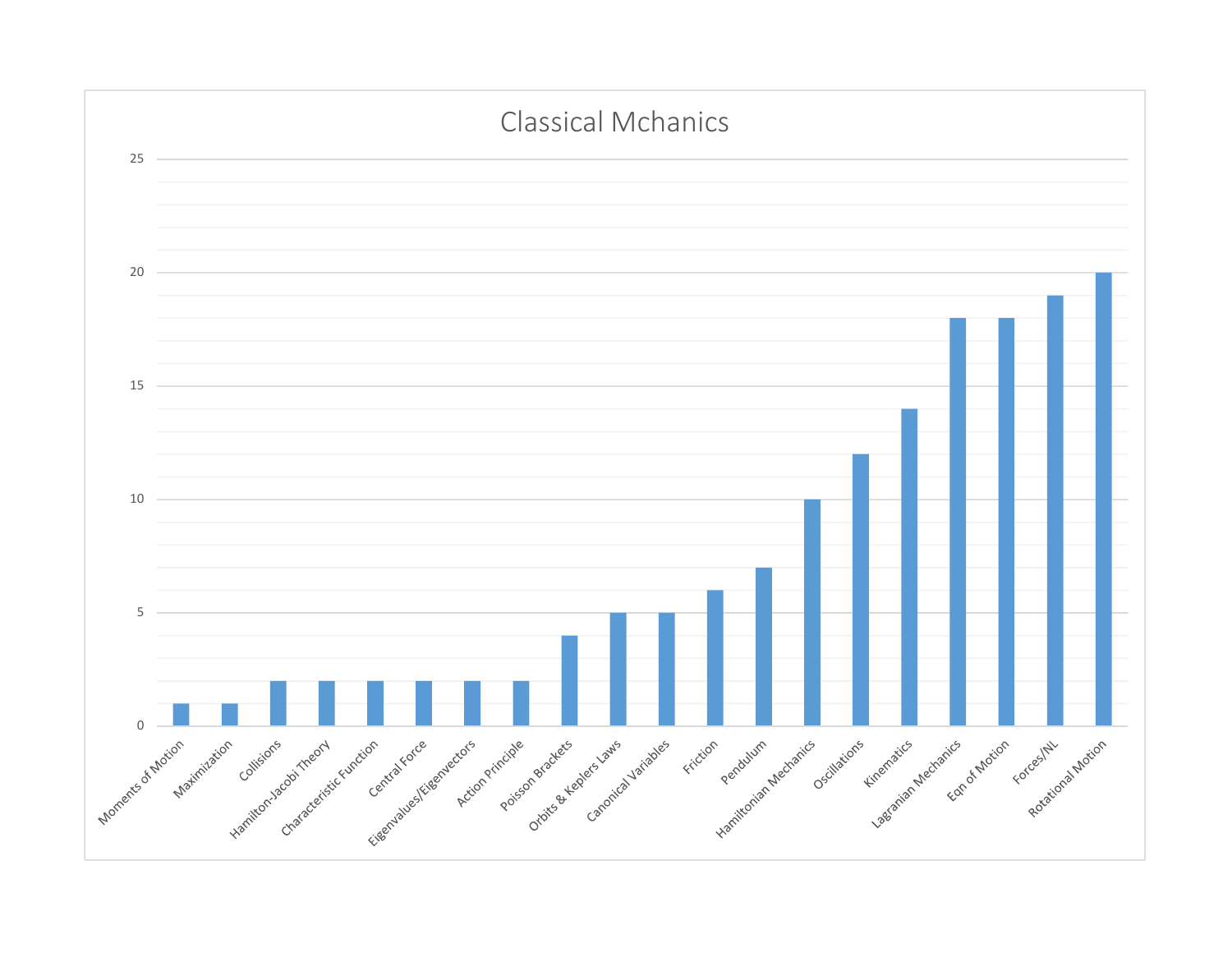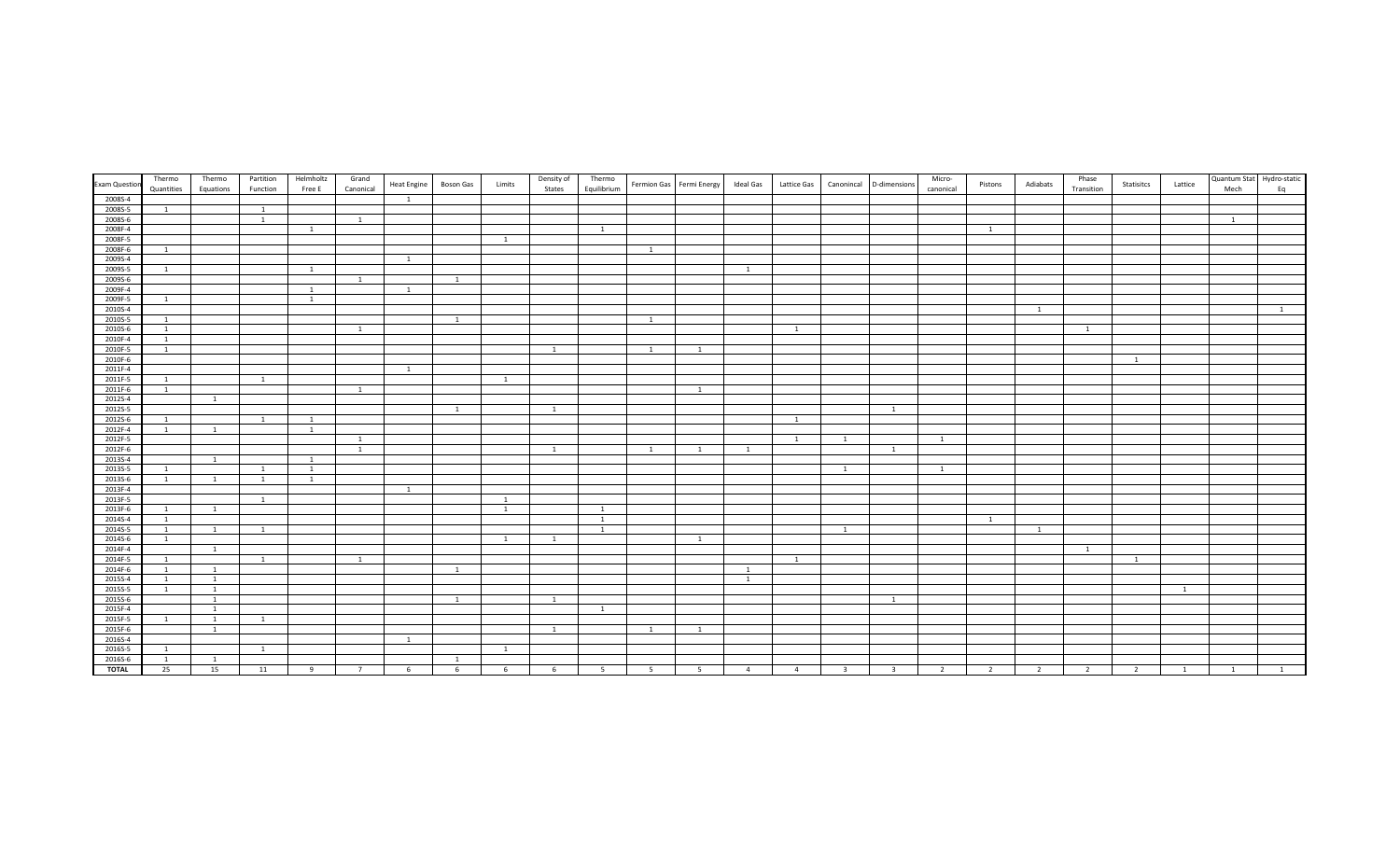|                      | Thermo         | Thermo         | Partition      | Helmholtz                      | Grand        |                    |                |                | Density of   | Thermo         |                |                          |                |                |                |                | Micro-         |                |                | Phase                    |                |                | Quantum Stat Hydro-static |                |
|----------------------|----------------|----------------|----------------|--------------------------------|--------------|--------------------|----------------|----------------|--------------|----------------|----------------|--------------------------|----------------|----------------|----------------|----------------|----------------|----------------|----------------|--------------------------|----------------|----------------|---------------------------|----------------|
| <b>Exam Question</b> | Quantities     | Equations      | Function       | Free E                         | Canonical    | <b>Heat Engine</b> | Boson Gas      | Limits         | States       | Equilibrium    |                | Fermion Gas Fermi Energy | Ideal Gas      | Lattice Gas    | Canonincal     | D-dimensions   | canonical      | Pistons        | Adiabats       | Transition               | Statisitcs     | Lattice        | Mech                      | Eq             |
| 2008S-4              |                |                |                |                                |              | <sup>1</sup>       |                |                |              |                |                |                          |                |                |                |                |                |                |                |                          |                |                |                           |                |
| 2008S-5              | 1              |                | $\overline{1}$ |                                |              |                    |                |                |              |                |                |                          |                |                |                |                |                |                |                |                          |                |                |                           |                |
| 2008S-6              |                |                | $\overline{1}$ |                                | <sup>1</sup> |                    |                |                |              |                |                |                          |                |                |                |                |                |                |                |                          |                |                | $\overline{1}$            |                |
| 2008F-4              |                |                |                | <sup>1</sup>                   |              |                    |                |                |              | 1              |                |                          |                |                |                |                |                | <sup>1</sup>   |                |                          |                |                |                           |                |
| 2008F-5              |                |                |                |                                |              |                    |                | $\overline{1}$ |              |                |                |                          |                |                |                |                |                |                |                |                          |                |                |                           |                |
| 2008F-6              | - 1            |                |                |                                |              |                    |                |                |              |                |                |                          |                |                |                |                |                |                |                |                          |                |                |                           |                |
| 2009S-4              |                |                |                |                                |              | <sup>1</sup>       |                |                |              |                |                |                          |                |                |                |                |                |                |                |                          |                |                |                           |                |
| 2009S-5              | 1              |                |                | 1                              |              |                    |                |                |              |                |                |                          | <sup>1</sup>   |                |                |                |                |                |                |                          |                |                |                           |                |
| 2009S-6              |                |                |                |                                | <sup>1</sup> |                    | $\overline{1}$ |                |              |                |                |                          |                |                |                |                |                |                |                |                          |                |                |                           |                |
| 2009F-4              |                |                |                | $\overline{1}$                 |              |                    |                |                |              |                |                |                          |                |                |                |                |                |                |                |                          |                |                |                           |                |
| 2009F-5              | 1              |                |                | $\overline{1}$                 |              |                    |                |                |              |                |                |                          |                |                |                |                |                |                |                |                          |                |                |                           |                |
| 2010S-4              |                |                |                |                                |              |                    |                |                |              |                |                |                          |                |                |                |                |                |                | 1              |                          |                |                |                           | $\overline{1}$ |
| 2010S-5              | $\overline{1}$ |                |                |                                |              |                    | $\overline{1}$ |                |              |                | $\overline{1}$ |                          |                |                |                |                |                |                |                |                          |                |                |                           |                |
| 2010S-6              | $\overline{1}$ |                |                |                                | <sup>1</sup> |                    |                |                |              |                |                |                          |                | $\overline{1}$ |                |                |                |                |                | <sup>1</sup>             |                |                |                           |                |
| 2010F-4              | $\overline{1}$ |                |                |                                |              |                    |                |                |              |                |                |                          |                |                |                |                |                |                |                |                          |                |                |                           |                |
| 2010F-5              | $\overline{1}$ |                |                |                                |              |                    |                |                | <sup>1</sup> |                | <sup>1</sup>   | <sup>1</sup>             |                |                |                |                |                |                |                |                          |                |                |                           |                |
| 2010F-6              |                |                |                |                                |              |                    |                |                |              |                |                |                          |                |                |                |                |                |                |                |                          | <sup>1</sup>   |                |                           |                |
| 2011F-4              |                |                |                |                                |              | $\overline{1}$     |                |                |              |                |                |                          |                |                |                |                |                |                |                |                          |                |                |                           |                |
| 2011F-5              | <sup>1</sup>   |                | $\overline{1}$ |                                |              |                    |                | 1              |              |                |                |                          |                |                |                |                |                |                |                |                          |                |                |                           |                |
| 2011F-6              | 1              |                |                |                                | <sup>1</sup> |                    |                |                |              |                |                | $\overline{1}$           |                |                |                |                |                |                |                |                          |                |                |                           |                |
| 2012S-4              |                | $\overline{1}$ |                |                                |              |                    |                |                |              |                |                |                          |                |                |                |                |                |                |                |                          |                |                |                           |                |
| 2012S-5              |                |                |                |                                |              |                    | <sup>1</sup>   |                | <sup>1</sup> |                |                |                          |                |                |                | $\overline{1}$ |                |                |                |                          |                |                |                           |                |
| 2012S-6              | $\overline{1}$ |                | $\overline{1}$ | $\mathbf{1}$                   |              |                    |                |                |              |                |                |                          |                | $\overline{1}$ |                |                |                |                |                |                          |                |                |                           |                |
| 2012F-4              | <sup>1</sup>   | 1              |                | 1                              |              |                    |                |                |              |                |                |                          |                |                |                |                |                |                |                |                          |                |                |                           |                |
| 2012F-5              |                |                |                |                                | <sup>1</sup> |                    |                |                |              |                |                |                          |                | $\mathbf{1}$   | $\mathbf{1}$   |                | <sup>1</sup>   |                |                |                          |                |                |                           |                |
| 2012F-6              |                |                |                |                                | 1            |                    |                |                | 1            |                | $\overline{1}$ | $\overline{1}$           | 1              |                |                | $\mathbf{1}$   |                |                |                |                          |                |                |                           |                |
| 2013S-4<br>2013S-5   |                | $\mathbf{1}$   | <sup>1</sup>   | $\mathbf{1}$<br>$\overline{1}$ |              |                    |                |                |              |                |                |                          |                |                | $\overline{1}$ |                | $\overline{1}$ |                |                |                          |                |                |                           |                |
| 2013S-6              | <sup>1</sup>   | <sup>1</sup>   | $\overline{1}$ | <sup>1</sup>                   |              |                    |                |                |              |                |                |                          |                |                |                |                |                |                |                |                          |                |                |                           |                |
| 2013F-4              | $\overline{1}$ |                |                |                                |              | $\overline{1}$     |                |                |              |                |                |                          |                |                |                |                |                |                |                |                          |                |                |                           |                |
| 2013F-5              |                |                | $\overline{1}$ |                                |              |                    |                | 1              |              |                |                |                          |                |                |                |                |                |                |                |                          |                |                |                           |                |
| 2013F-6              | <sup>1</sup>   | <sup>1</sup>   |                |                                |              |                    |                | 1              |              | 1              |                |                          |                |                |                |                |                |                |                |                          |                |                |                           |                |
| 2014S-4              | $\mathbf{1}$   |                |                |                                |              |                    |                |                |              | <sup>1</sup>   |                |                          |                |                |                |                |                | <sup>1</sup>   |                |                          |                |                |                           |                |
| 2014S-5              | $\overline{1}$ | $\overline{1}$ | $\overline{1}$ |                                |              |                    |                |                |              | $\overline{1}$ |                |                          |                |                | $\mathbf{1}$   |                |                |                | $\mathbf{1}$   |                          |                |                |                           |                |
| 2014S-6              | <sup>1</sup>   |                |                |                                |              |                    |                | 1              | <sup>1</sup> |                |                | <sup>1</sup>             |                |                |                |                |                |                |                |                          |                |                |                           |                |
| 2014F-4              |                | 1              |                |                                |              |                    |                |                |              |                |                |                          |                |                |                |                |                |                |                | $\overline{1}$           |                |                |                           |                |
| 2014F-5              | <sup>1</sup>   |                | 1              |                                | <sup>1</sup> |                    |                |                |              |                |                |                          |                | $\overline{1}$ |                |                |                |                |                |                          | $\overline{1}$ |                |                           |                |
| 2014F-6              | <sup>1</sup>   | 1              |                |                                |              |                    | $\overline{1}$ |                |              |                |                |                          | $\overline{1}$ |                |                |                |                |                |                |                          |                |                |                           |                |
| 2015S-4              | <sup>1</sup>   | 1              |                |                                |              |                    |                |                |              |                |                |                          | <sup>1</sup>   |                |                |                |                |                |                |                          |                |                |                           |                |
| 2015S-5              | 1              | <sup>1</sup>   |                |                                |              |                    |                |                |              |                |                |                          |                |                |                |                |                |                |                |                          |                | $\overline{1}$ |                           |                |
| 2015S-6              |                | <sup>1</sup>   |                |                                |              |                    | <sup>1</sup>   |                | <sup>1</sup> |                |                |                          |                |                |                | <sup>1</sup>   |                |                |                |                          |                |                |                           |                |
| 2015F-4              |                | <sup>1</sup>   |                |                                |              |                    |                |                |              | $\overline{1}$ |                |                          |                |                |                |                |                |                |                |                          |                |                |                           |                |
| 2015F-5              | 1              | 1              | <sup>1</sup>   |                                |              |                    |                |                |              |                |                |                          |                |                |                |                |                |                |                |                          |                |                |                           |                |
| 2015F-6              |                | 1              |                |                                |              |                    |                |                | <sup>1</sup> |                | $\overline{1}$ | $\overline{1}$           |                |                |                |                |                |                |                |                          |                |                |                           |                |
| 2016S-4              |                |                |                |                                |              |                    |                |                |              |                |                |                          |                |                |                |                |                |                |                |                          |                |                |                           |                |
| 2016S-5              | <sup>1</sup>   |                | $\overline{1}$ |                                |              |                    |                |                |              |                |                |                          |                |                |                |                |                |                |                |                          |                |                |                           |                |
| 2016S-6              | <sup>1</sup>   | 1              |                |                                |              |                    | $\overline{1}$ |                |              |                |                |                          |                |                |                |                |                |                |                |                          |                |                |                           |                |
| <b>TOTAL</b>         | 25             | 15             | 11             | $\mathbf{q}$                   |              |                    | 6              | 6              | 6            |                | - 5            | -5                       | $\overline{4}$ | $\overline{4}$ | -3             | ્ર             | $\overline{2}$ | $\overline{z}$ | $\overline{2}$ | $\overline{\phantom{a}}$ | $\overline{2}$ |                |                           |                |